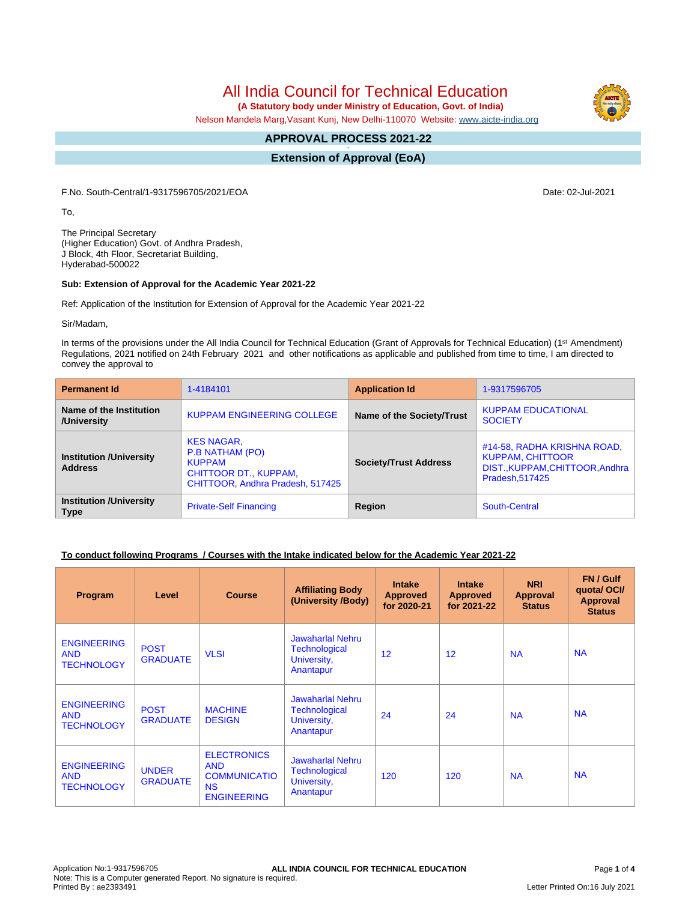# All India Council for Technical Education

 **(A Statutory body under Ministry of Education, Govt. of India)**

Nelson Mandela Marg,Vasant Kunj, New Delhi-110070 Website: [www.aicte-india.org](http://www.aicte-india.org)

#### **APPROVAL PROCESS 2021-22 -**

**Extension of Approval (EoA)**

F.No. South-Central/1-9317596705/2021/EOA Date: 02-Jul-2021

To,

The Principal Secretary (Higher Education) Govt. of Andhra Pradesh, J Block, 4th Floor, Secretariat Building, Hyderabad-500022

#### **Sub: Extension of Approval for the Academic Year 2021-22**

Ref: Application of the Institution for Extension of Approval for the Academic Year 2021-22

Sir/Madam,

In terms of the provisions under the All India Council for Technical Education (Grant of Approvals for Technical Education) (1<sup>st</sup> Amendment) Regulations, 2021 notified on 24th February 2021 and other notifications as applicable and published from time to time, I am directed to convey the approval to

| <b>Permanent Id</b>                              | 1-4184101                                                                                                          | <b>Application Id</b>        | 1-9317596705                                                                                                 |  |
|--------------------------------------------------|--------------------------------------------------------------------------------------------------------------------|------------------------------|--------------------------------------------------------------------------------------------------------------|--|
| Name of the Institution<br>/University           | <b>KUPPAM ENGINEERING COLLEGE</b>                                                                                  | Name of the Society/Trust    | <b>KUPPAM EDUCATIONAL</b><br><b>SOCIETY</b>                                                                  |  |
| <b>Institution /University</b><br><b>Address</b> | <b>KES NAGAR,</b><br>P.B NATHAM (PO)<br><b>KUPPAM</b><br>CHITTOOR DT., KUPPAM,<br>CHITTOOR, Andhra Pradesh, 517425 | <b>Society/Trust Address</b> | #14-58, RADHA KRISHNA ROAD,<br><b>KUPPAM, CHITTOOR</b><br>DIST., KUPPAM, CHITTOOR, Andhra<br>Pradesh, 517425 |  |
| <b>Institution /University</b><br><b>Type</b>    | <b>Private-Self Financing</b>                                                                                      | Region                       | South-Central                                                                                                |  |

#### **To conduct following Programs / Courses with the Intake indicated below for the Academic Year 2021-22**

| Program                                               | Level                           | <b>Course</b>                                                                              | <b>Affiliating Body</b><br>(University /Body)                               | <b>Intake</b><br><b>Approved</b><br>for 2020-21 | <b>Intake</b><br><b>Approved</b><br>for 2021-22 | <b>NRI</b><br><b>Approval</b><br><b>Status</b> | FN / Gulf<br>quotal OCI/<br><b>Approval</b><br><b>Status</b> |
|-------------------------------------------------------|---------------------------------|--------------------------------------------------------------------------------------------|-----------------------------------------------------------------------------|-------------------------------------------------|-------------------------------------------------|------------------------------------------------|--------------------------------------------------------------|
| <b>ENGINEERING</b><br><b>AND</b><br><b>TECHNOLOGY</b> | <b>POST</b><br><b>GRADUATE</b>  | <b>VLSI</b>                                                                                | Jawaharlal Nehru<br><b>Technological</b><br>University,<br>Anantapur        | 12                                              | 12 <sup>2</sup>                                 | <b>NA</b>                                      | <b>NA</b>                                                    |
| <b>ENGINEERING</b><br><b>AND</b><br><b>TECHNOLOGY</b> | <b>POST</b><br><b>GRADUATE</b>  | <b>MACHINE</b><br><b>DESIGN</b>                                                            | Jawaharlal Nehru<br><b>Technological</b><br>University,<br>Anantapur        | 24                                              | 24                                              | <b>NA</b>                                      | <b>NA</b>                                                    |
| <b>ENGINEERING</b><br><b>AND</b><br><b>TECHNOLOGY</b> | <b>UNDER</b><br><b>GRADUATE</b> | <b>ELECTRONICS</b><br><b>AND</b><br><b>COMMUNICATIO</b><br><b>NS</b><br><b>ENGINEERING</b> | <b>Jawaharlal Nehru</b><br><b>Technological</b><br>University,<br>Anantapur | 120                                             | 120                                             | <b>NA</b>                                      | <b>NA</b>                                                    |

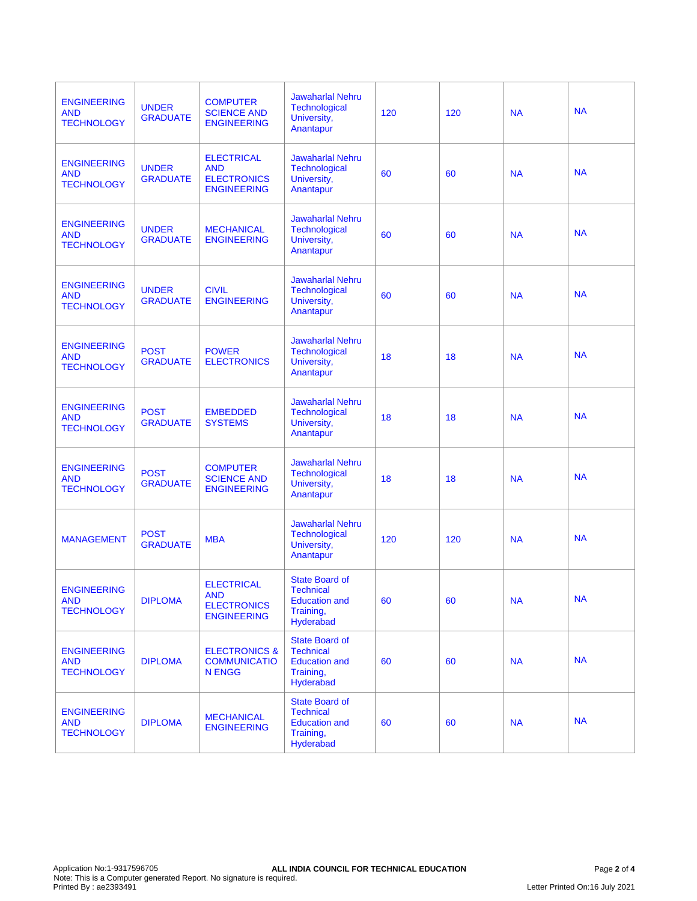| <b>ENGINEERING</b><br><b>AND</b><br><b>TECHNOLOGY</b> | <b>UNDER</b><br><b>GRADUATE</b> | <b>COMPUTER</b><br><b>SCIENCE AND</b><br><b>ENGINEERING</b>                 | <b>Jawaharlal Nehru</b><br>Technological<br>University,<br>Anantapur                        | 120 | 120 | <b>NA</b> | <b>NA</b> |
|-------------------------------------------------------|---------------------------------|-----------------------------------------------------------------------------|---------------------------------------------------------------------------------------------|-----|-----|-----------|-----------|
| <b>ENGINEERING</b><br><b>AND</b><br><b>TECHNOLOGY</b> | <b>UNDER</b><br><b>GRADUATE</b> | <b>ELECTRICAL</b><br><b>AND</b><br><b>ELECTRONICS</b><br><b>ENGINEERING</b> | <b>Jawaharlal Nehru</b><br>Technological<br>University,<br>Anantapur                        | 60  | 60  | <b>NA</b> | <b>NA</b> |
| <b>ENGINEERING</b><br><b>AND</b><br><b>TECHNOLOGY</b> | <b>UNDER</b><br><b>GRADUATE</b> | <b>MECHANICAL</b><br><b>ENGINEERING</b>                                     | <b>Jawaharlal Nehru</b><br>Technological<br>University,<br>Anantapur                        | 60  | 60  | <b>NA</b> | <b>NA</b> |
| <b>ENGINEERING</b><br><b>AND</b><br><b>TECHNOLOGY</b> | <b>UNDER</b><br><b>GRADUATE</b> | <b>CIVIL</b><br><b>ENGINEERING</b>                                          | <b>Jawaharlal Nehru</b><br>Technological<br>University,<br>Anantapur                        | 60  | 60  | <b>NA</b> | <b>NA</b> |
| <b>ENGINEERING</b><br><b>AND</b><br><b>TECHNOLOGY</b> | <b>POST</b><br><b>GRADUATE</b>  | <b>POWER</b><br><b>ELECTRONICS</b>                                          | <b>Jawaharlal Nehru</b><br>Technological<br>University,<br>Anantapur                        | 18  | 18  | <b>NA</b> | <b>NA</b> |
| <b>ENGINEERING</b><br><b>AND</b><br><b>TECHNOLOGY</b> | <b>POST</b><br><b>GRADUATE</b>  | <b>EMBEDDED</b><br><b>SYSTEMS</b>                                           | <b>Jawaharlal Nehru</b><br><b>Technological</b><br>University,<br>Anantapur                 | 18  | 18  | <b>NA</b> | <b>NA</b> |
| <b>ENGINEERING</b><br><b>AND</b><br><b>TECHNOLOGY</b> | <b>POST</b><br><b>GRADUATE</b>  | <b>COMPUTER</b><br><b>SCIENCE AND</b><br><b>ENGINEERING</b>                 | <b>Jawaharlal Nehru</b><br><b>Technological</b><br>University,<br>Anantapur                 | 18  | 18  | <b>NA</b> | <b>NA</b> |
| <b>MANAGEMENT</b>                                     | <b>POST</b><br><b>GRADUATE</b>  | <b>MBA</b>                                                                  | <b>Jawaharlal Nehru</b><br><b>Technological</b><br>University,<br>Anantapur                 | 120 | 120 | <b>NA</b> | <b>NA</b> |
| <b>ENGINEERING</b><br><b>AND</b><br><b>TECHNOLOGY</b> | <b>DIPLOMA</b>                  | <b>ELECTRICAL</b><br><b>AND</b><br><b>ELECTRONICS</b><br><b>ENGINEERING</b> | <b>State Board of</b><br><b>Technical</b><br><b>Education and</b><br>Training,<br>Hyderabad | 60  | 60  | <b>NA</b> | <b>NA</b> |
| <b>ENGINEERING</b><br><b>AND</b><br><b>TECHNOLOGY</b> | <b>DIPLOMA</b>                  | <b>ELECTRONICS &amp;</b><br><b>COMMUNICATIO</b><br><b>N ENGG</b>            | State Board of<br><b>Technical</b><br><b>Education and</b><br>Training,<br>Hyderabad        | 60  | 60  | <b>NA</b> | <b>NA</b> |
| <b>ENGINEERING</b><br><b>AND</b><br><b>TECHNOLOGY</b> | <b>DIPLOMA</b>                  | <b>MECHANICAL</b><br><b>ENGINEERING</b>                                     | State Board of<br><b>Technical</b><br><b>Education and</b><br>Training,<br>Hyderabad        | 60  | 60  | <b>NA</b> | <b>NA</b> |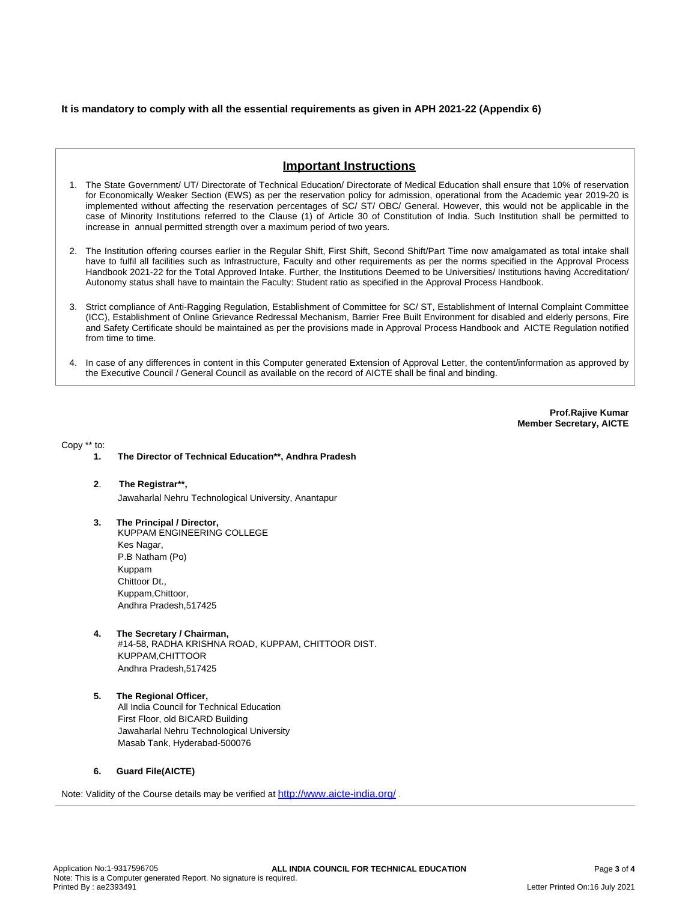### **It is mandatory to comply with all the essential requirements as given in APH 2021-22 (Appendix 6)**

## **Important Instructions**

- 1. The State Government/ UT/ Directorate of Technical Education/ Directorate of Medical Education shall ensure that 10% of reservation for Economically Weaker Section (EWS) as per the reservation policy for admission, operational from the Academic year 2019-20 is implemented without affecting the reservation percentages of SC/ ST/ OBC/ General. However, this would not be applicable in the case of Minority Institutions referred to the Clause (1) of Article 30 of Constitution of India. Such Institution shall be permitted to increase in annual permitted strength over a maximum period of two years.
- 2. The Institution offering courses earlier in the Regular Shift, First Shift, Second Shift/Part Time now amalgamated as total intake shall have to fulfil all facilities such as Infrastructure, Faculty and other requirements as per the norms specified in the Approval Process Handbook 2021-22 for the Total Approved Intake. Further, the Institutions Deemed to be Universities/ Institutions having Accreditation/ Autonomy status shall have to maintain the Faculty: Student ratio as specified in the Approval Process Handbook.
- 3. Strict compliance of Anti-Ragging Regulation, Establishment of Committee for SC/ ST, Establishment of Internal Complaint Committee (ICC), Establishment of Online Grievance Redressal Mechanism, Barrier Free Built Environment for disabled and elderly persons, Fire and Safety Certificate should be maintained as per the provisions made in Approval Process Handbook and AICTE Regulation notified from time to time.
- 4. In case of any differences in content in this Computer generated Extension of Approval Letter, the content/information as approved by the Executive Council / General Council as available on the record of AICTE shall be final and binding.

**Prof.Rajive Kumar Member Secretary, AICTE**

Copy \*\* to:

- **1. The Director of Technical Education\*\*, Andhra Pradesh**
- **2**. **The Registrar\*\*,** Jawaharlal Nehru Technological University, Anantapur
- **3. The Principal / Director,** KUPPAM ENGINEERING COLLEGE Kes Nagar, P.B Natham (Po) Kuppam Chittoor Dt., Kuppam,Chittoor, Andhra Pradesh,517425
- **4. The Secretary / Chairman,** #14-58, RADHA KRISHNA ROAD, KUPPAM, CHITTOOR DIST. KUPPAM,CHITTOOR Andhra Pradesh,517425
- **5. The Regional Officer,** All India Council for Technical Education First Floor, old BICARD Building Jawaharlal Nehru Technological University Masab Tank, Hyderabad-500076

#### **6. Guard File(AICTE)**

Note: Validity of the Course details may be verified at <http://www.aicte-india.org/> **.**